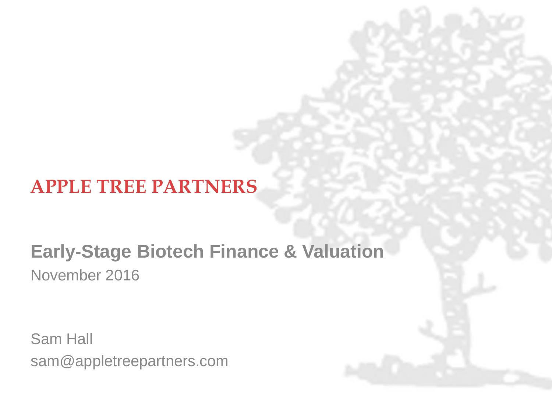# **APPLE TREE PARTNERS**

# **Early-Stage Biotech Finance & Valuation** November 2016

Sam Hall sam@appletreepartners.com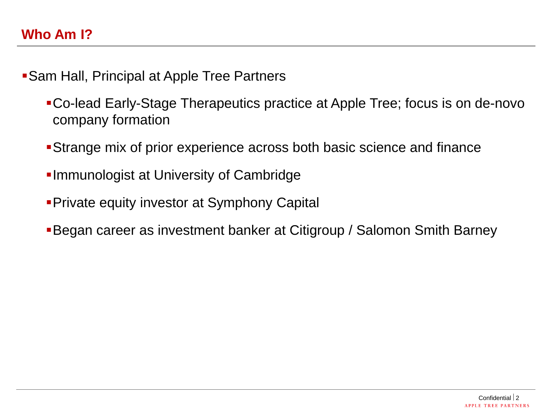- Sam Hall, Principal at Apple Tree Partners
	- Co-lead Early-Stage Therapeutics practice at Apple Tree; focus is on de-novo company formation
	- Strange mix of prior experience across both basic science and finance
	- **Immunologist at University of Cambridge**
	- Private equity investor at Symphony Capital
	- Began career as investment banker at Citigroup / Salomon Smith Barney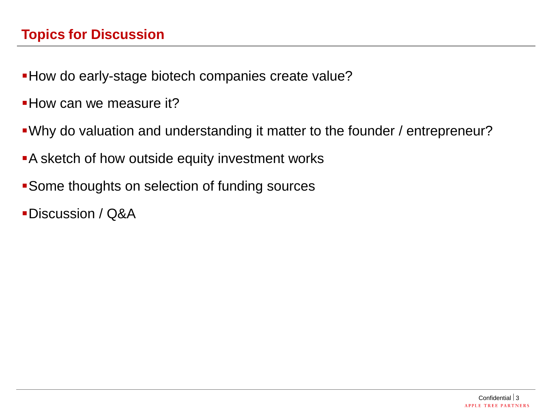- **-How do early-stage biotech companies create value?**
- **How can we measure it?**
- Why do valuation and understanding it matter to the founder / entrepreneur?
- **A** sketch of how outside equity investment works
- Some thoughts on selection of funding sources
- Discussion / Q&A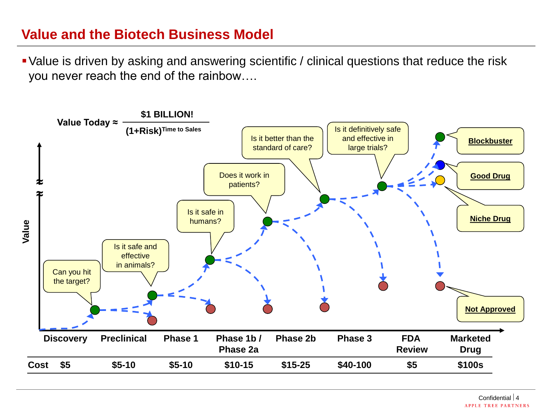#### **Value and the Biotech Business Model**

Value is driven by asking and answering scientific / clinical questions that reduce the risk you never reach the end of the rainbow….

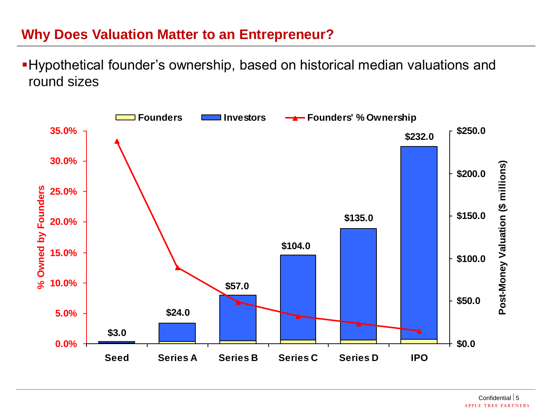#### **Why Does Valuation Matter to an Entrepreneur?**

Hypothetical founder's ownership, based on historical median valuations and round sizes

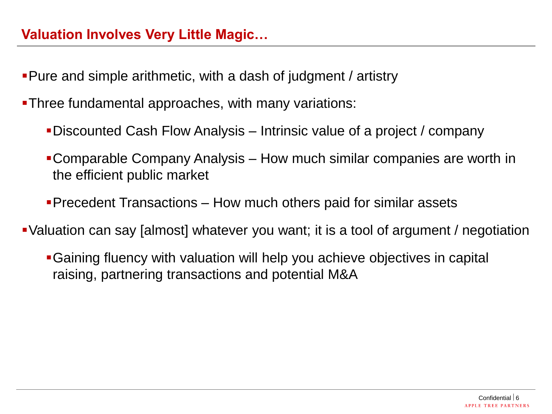#### **Valuation Involves Very Little Magic…**

- Pure and simple arithmetic, with a dash of judgment / artistry
- Three fundamental approaches, with many variations:
	- Discounted Cash Flow Analysis Intrinsic value of a project / company
	- Comparable Company Analysis How much similar companies are worth in the efficient public market
	- Precedent Transactions How much others paid for similar assets
- Valuation can say [almost] whatever you want; it is a tool of argument / negotiation
	- Gaining fluency with valuation will help you achieve objectives in capital raising, partnering transactions and potential M&A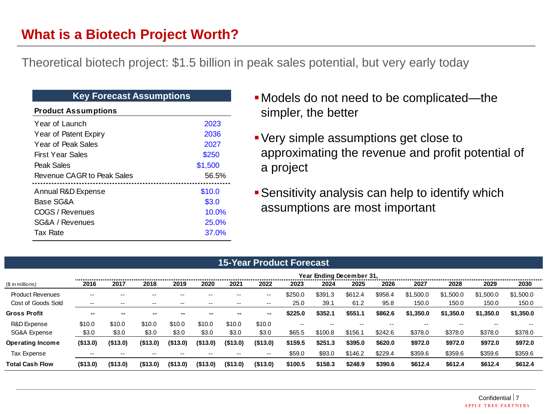## **What is a Biotech Project Worth?**

Theoretical biotech project: \$1.5 billion in peak sales potential, but very early today

| <b>Key Forecast Assumptions</b> |         |  |  |  |  |  |  |  |
|---------------------------------|---------|--|--|--|--|--|--|--|
| <b>Product Assumptions</b>      |         |  |  |  |  |  |  |  |
| Year of Launch                  | 2023    |  |  |  |  |  |  |  |
| Year of Patent Expiry           | 2036    |  |  |  |  |  |  |  |
| Year of Peak Sales              | 2027    |  |  |  |  |  |  |  |
| <b>First Year Sales</b>         | \$250   |  |  |  |  |  |  |  |
| Peak Sales                      | \$1,500 |  |  |  |  |  |  |  |
| Revenue CAGR to Peak Sales      | 56.5%   |  |  |  |  |  |  |  |
| Annual R&D Expense              | \$10.0  |  |  |  |  |  |  |  |
| Base SG&A                       | \$3.0   |  |  |  |  |  |  |  |
| COGS / Revenues                 | 10.0%   |  |  |  |  |  |  |  |
| SG&A / Revenues                 | 25.0%   |  |  |  |  |  |  |  |
| Tax Rate                        | 37.0%   |  |  |  |  |  |  |  |

- Models do not need to be complicated—the simpler, the better
- Very simple assumptions get close to approximating the revenue and profit potential of a project
- Sensitivity analysis can help to identify which assumptions are most important

|                         |                          |                          |          |               |                          |               |                          | <b>15-Year Product Forecast</b> |                          |         |         |           |           |               |               |
|-------------------------|--------------------------|--------------------------|----------|---------------|--------------------------|---------------|--------------------------|---------------------------------|--------------------------|---------|---------|-----------|-----------|---------------|---------------|
|                         |                          |                          |          |               |                          |               |                          |                                 | Year Ending December 31, |         |         |           |           |               |               |
| (\$ in millions)        | 2016                     | 2017                     | 2018     | 2019          | 2020                     | 2021          | 2022                     | 2023                            | 2024                     | 2025    | 2026    | 2027      | 2028      | 2029          | 2030          |
| <b>Product Revenues</b> | $- -$                    | $- -$                    | $- -$    | $-1$          | $- -$                    | $\sim$ $\sim$ | $\sim$ $\sim$            | \$250.0                         | \$391.3                  | \$612.4 | \$958.4 | \$1,500.0 | \$1,500.0 | \$1,500.0     | \$1,500.0     |
| Cost of Goods Sold      | $\sim$ $\sim$            | $\sim$ $\sim$            | $- -$    | $\sim$ $\sim$ | $\sim$ $\sim$            | $\sim$ $-$    | $\overline{\phantom{a}}$ | 25.0                            | 39.1                     | 61.2    | 95.8    | 150.0     | 150.0     | 150.0         | 150.0         |
| <b>Gross Profit</b>     | $\overline{\phantom{m}}$ | $\overline{\phantom{a}}$ | $- -$    | $- -$         | $\overline{\phantom{a}}$ | $- -$         | $\overline{\phantom{a}}$ | \$225.0                         | \$352.1                  | \$551.1 | \$862.6 | \$1,350.0 | \$1,350.0 | \$1,350.0     | \$1,350.0     |
| R&D Expense             | \$10.0                   | \$10.0                   | \$10.0   | \$10.0        | \$10.0                   | \$10.0        | \$10.0                   | $\sim$ $\sim$                   | --                       | $- -$   | $- -$   | $- -$     | $- -$     | $\sim$ $\sim$ | $\sim$ $\sim$ |
| SG&A Expense            | \$3.0                    | \$3.0                    | \$3.0    | \$3.0         | \$3.0                    | \$3.0         | \$3.0                    | \$65.5                          | \$100.8                  | \$156.1 | \$242.6 | \$378.0   | \$378.0   | \$378.0       | \$378.0       |
| <b>Operating Income</b> | (\$13.0)                 | (\$13.0)                 | (\$13.0) | (\$13.0)      | (\$13.0)                 | (\$13.0)      | (\$13.0)                 | \$159.5                         | \$251.3                  | \$395.0 | \$620.0 | \$972.0   | \$972.0   | \$972.0       | \$972.0       |
| Tax Expense             | $- -$                    | $\sim$ $-$               | $- -$    | $\sim$ $\sim$ | $\sim$ $\sim$            | $\sim$ $-$    | $\sim$ $-$               | \$59.0                          | \$93.0                   | \$146.2 | \$229.4 | \$359.6   | \$359.6   | \$359.6       | \$359.6       |
| <b>Total Cash Flow</b>  | (\$13.0)                 | (\$13.0)                 | (\$13.0) | (\$13.0)      | (\$13.0)                 | (\$13.0)      | (\$13.0)                 | \$100.5                         | \$158.3                  | \$248.9 | \$390.6 | \$612.4   | \$612.4   | \$612.4       | \$612.4       |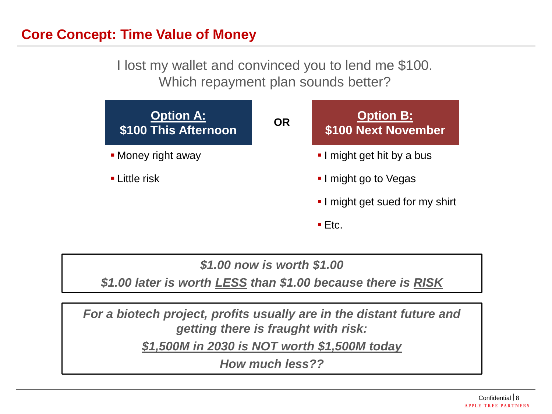#### **Core Concept: Time Value of Money**

I lost my wallet and convinced you to lend me \$100. Which repayment plan sounds better?



*\$1.00 now is worth \$1.00*

*\$1.00 later is worth LESS than \$1.00 because there is RISK*

*For a biotech project, profits usually are in the distant future and getting there is fraught with risk: \$1,500M in 2030 is NOT worth \$1,500M today*

*How much less??*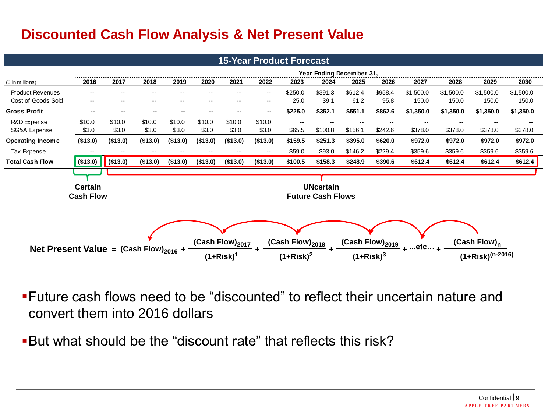## **Discounted Cash Flow Analysis & Net Present Value**



- Future cash flows need to be "discounted" to reflect their uncertain nature and convert them into 2016 dollars
- But what should be the "discount rate" that reflects this risk?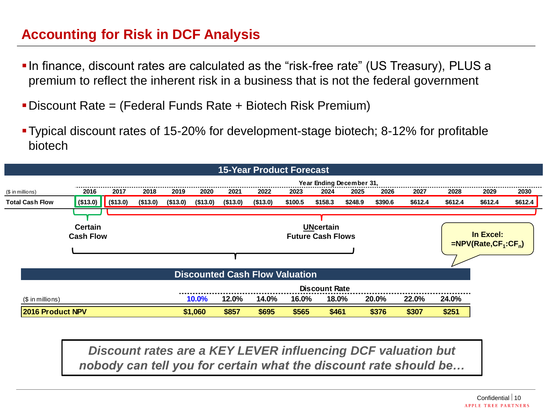## **Accounting for Risk in DCF Analysis**

• In finance, discount rates are calculated as the "risk-free rate" (US Treasury), PLUS a premium to reflect the inherent risk in a business that is not the federal government

Discount Rate = (Federal Funds Rate + Biotech Risk Premium)

Typical discount rates of 15-20% for development-stage biotech; 8-12% for profitable biotech



*Discount rates are a KEY LEVER influencing DCF valuation but nobody can tell you for certain what the discount rate should be…*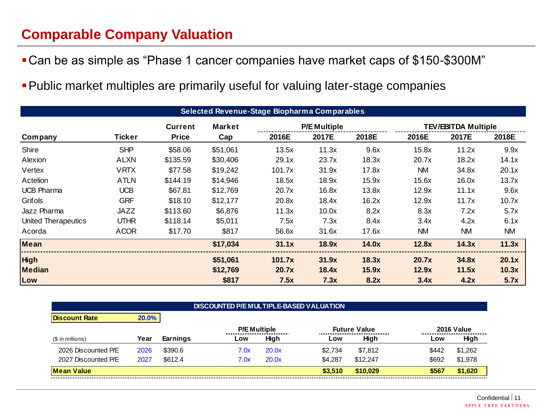# **Comparable Company Valuation**

- Can be as simple as "Phase 1 cancer companies have market caps of \$150-\$300M"
- Public market multiples are primarily useful for valuing later-stage companies

| Selected Revenue-Stage Biopharma Comparables |             |                |               |        |                     |       |                            |       |       |  |
|----------------------------------------------|-------------|----------------|---------------|--------|---------------------|-------|----------------------------|-------|-------|--|
|                                              |             | <b>Current</b> | <b>Market</b> |        | <b>P/E Multiple</b> |       | <b>TEV/EBITDA Multiple</b> |       |       |  |
| Company                                      | Ticker      | <b>Price</b>   | Cap           | 2016E  | 2017E               | 2018E | 2016E                      | 2017E | 2018E |  |
| Shire                                        | <b>SHP</b>  | \$58.06        | \$51,061      | 13.5x  | 11.3x               | 9.6x  | 15.8x                      | 11.2x | 9.9x  |  |
| Alexion                                      | <b>ALXN</b> | \$135.59       | \$30,406      | 29.1x  | 23.7x               | 18.3x | 20.7x                      | 18.2x | 14.1x |  |
| Vertex                                       | <b>VRTX</b> | \$77.58        | \$19,242      | 101.7x | 31.9x               | 17.8x | <b>NM</b>                  | 34.8x | 20.1x |  |
| Actelion                                     | <b>ATLN</b> | \$144.19       | \$14,946      | 18.5x  | 18.9x               | 15.9x | 15.6x                      | 16.0x | 13.7x |  |
| <b>UCB Pharma</b>                            | <b>UCB</b>  | \$67.81        | \$12,769      | 20.7x  | 16.8x               | 13.8x | 12.9x                      | 11.1x | 9.6x  |  |
| Grifols                                      | <b>GRF</b>  | \$18.10        | \$12,177      | 20.8x  | 18.4x               | 16.2x | 12.9x                      | 11.7x | 10.7x |  |
| Jazz Pharma                                  | JAZZ        | \$113.60       | \$6,876       | 11.3x  | 10.0x               | 8.2x  | 8.3x                       | 7.2x  | 5.7x  |  |
| <b>United Therapeutics</b>                   | <b>UTHR</b> | \$118.14       | \$5,011       | 7.5x   | 7.3x                | 8.4x  | 3.4x                       | 4.2x  | 6.1x  |  |
| Acorda                                       | <b>ACOR</b> | \$17.70        | \$817         | 56.6x  | 31.6x               | 17.6x | <b>NM</b>                  | ΝM    | ΝM    |  |
| <b>Mean</b>                                  |             |                | \$17,034      | 31.1x  | 18.9x               | 14.0x | 12.8x                      | 14.3x | 11.3x |  |
| <b>High</b>                                  |             |                | \$51,061      | 101.7x | 31.9x               | 18.3x | 20.7x                      | 34.8x | 20.1x |  |
| <b>Median</b>                                |             |                | \$12,769      | 20.7x  | 18.4x               | 15.9x | 12.9x                      | 11.5x | 10.3x |  |
| Low                                          |             |                | \$817         | 7.5x   | 7.3x                | 8.2x  | 3.4x                       | 4.2x  | 5.7x  |  |

| DISCOUNTED P/E MULTIPLE-BASED VALUATION |       |          |                     |       |                     |          |                   |         |  |
|-----------------------------------------|-------|----------|---------------------|-------|---------------------|----------|-------------------|---------|--|
| <b>Discount Rate</b>                    | 20.0% |          |                     |       |                     |          |                   |         |  |
|                                         |       |          | <b>P/E Multiple</b> |       | <b>Future Value</b> |          | <b>2016 Value</b> |         |  |
| (\$ in millions)                        | Year  | Earnings | Low                 | High  | Low                 | High     | Low               | High    |  |
| 2026 Discounted P/E                     | 2026  | \$390.6  | 7.0x                | 20.0x | \$2.734             | \$7.812  | \$442             | \$1,262 |  |
| 2027 Discounted P/E                     | 2027  | \$612.4  | 7.0x                | 20.0x | \$4,287             | \$12.247 | \$692             | \$1,978 |  |
| <b>Mean Value</b>                       |       |          |                     |       | \$3,510             | \$10,029 | \$567             | \$1,620 |  |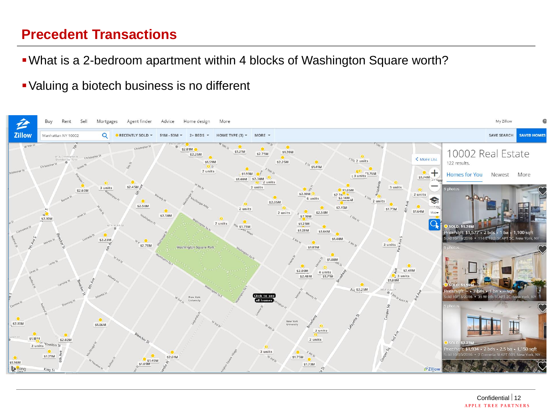## **Precedent Transactions**

- What is a 2-bedroom apartment within 4 blocks of Washington Square worth?
- Valuing a biotech business is no different

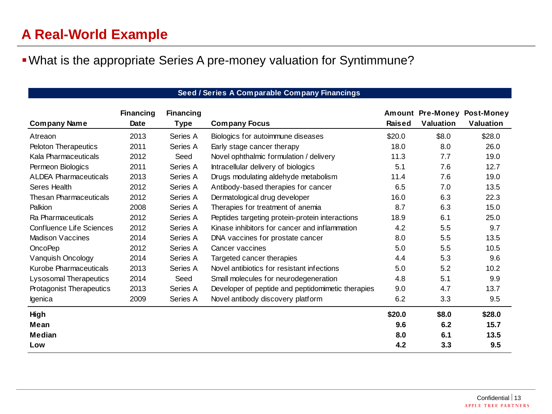# **A Real-World Example**

#### What is the appropriate Series A pre-money valuation for Syntimmune?

#### **Seed / Series A Comparable Company Financings**

|                               | <b>Financing</b> | <b>Financing</b> |                                                   |        |                  | Amount Pre-Money Post-Money |
|-------------------------------|------------------|------------------|---------------------------------------------------|--------|------------------|-----------------------------|
| <b>Company Name</b>           | Date             | <b>Type</b>      | <b>Company Focus</b>                              | Raised | <b>Valuation</b> | <b>Valuation</b>            |
| Atreaon                       | 2013             | Series A         | Biologics for autoimmune diseases                 | \$20.0 | \$8.0            | \$28.0                      |
| Peloton Therapeutics          | 2011             | Series A         | Early stage cancer therapy                        | 18.0   | 8.0              | 26.0                        |
| Kala Pharmaceuticals          | 2012             | Seed             | Novel ophthalmic formulation / delivery           | 11.3   | 7.7              | 19.0                        |
| Permeon Biologics             | 2011             | Series A         | Intracellular delivery of biologics               | 5.1    | 7.6              | 12.7                        |
| <b>ALDEA Pharmaceuticals</b>  | 2013             | Series A         | Drugs modulating aldehyde metabolism              | 11.4   | 7.6              | 19.0                        |
| Seres Health                  | 2012             | Series A         | Antibody-based therapies for cancer               | 6.5    | 7.0              | 13.5                        |
| <b>Thesan Pharmaceuticals</b> | 2012             | Series A         | Dermatological drug developer                     | 16.0   | 6.3              | 22.3                        |
| Palkion                       | 2008             | Series A         | Therapies for treatment of anemia                 | 8.7    | 6.3              | 15.0                        |
| Ra Pharmaceuticals            | 2012             | Series A         | Peptides targeting protein-protein interactions   | 18.9   | 6.1              | 25.0                        |
| Confluence Life Sciences      | 2012             | Series A         | Kinase inhibitors for cancer and inflammation     | 4.2    | 5.5              | 9.7                         |
| <b>Madison Vaccines</b>       | 2014             | Series A         | DNA vaccines for prostate cancer                  | 8.0    | 5.5              | 13.5                        |
| <b>OncoPep</b>                | 2012             | Series A         | Cancer vaccines                                   | 5.0    | 5.5              | 10.5                        |
| Vanquish Oncology             | 2014             | Series A         | Targeted cancer therapies                         | 4.4    | 5.3              | 9.6                         |
| Kurobe Pharmaceuticals        | 2013             | Series A         | Novel antibiotics for resistant infections        | 5.0    | 5.2              | 10.2                        |
| <b>Lysosomal Therapeutics</b> | 2014             | Seed             | Small molecules for neurodegeneration             | 4.8    | 5.1              | 9.9                         |
| Protagonist Therapeutics      | 2013             | Series A         | Developer of peptide and peptidomimetic therapies | 9.0    | 4.7              | 13.7                        |
| Igenica                       | 2009             | Series A         | Novel antibody discovery platform                 | 6.2    | 3.3              | 9.5                         |
| High                          |                  |                  |                                                   | \$20.0 | \$8.0            | \$28.0                      |
| Mean                          |                  |                  |                                                   | 9.6    | 6.2              | 15.7                        |
| Median                        |                  |                  |                                                   | 8.0    | 6.1              | 13.5                        |
| Low                           |                  |                  |                                                   | 4.2    | 3.3              | 9.5                         |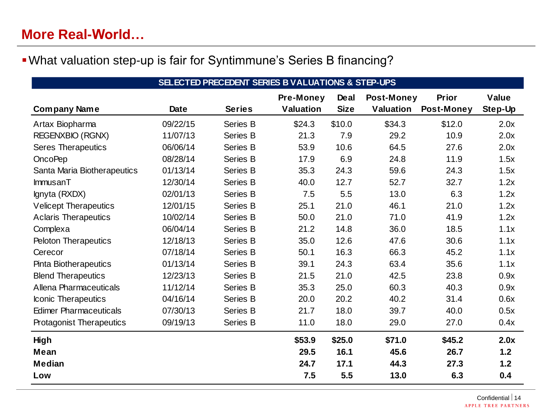# **More Real-World…**

## What valuation step-up is fair for Syntimmune's Series B financing?

| SELECTED PRECEDENT SERIES B VALUATIONS & STEP-UPS |          |               |                               |                            |                                       |                            |                  |  |
|---------------------------------------------------|----------|---------------|-------------------------------|----------------------------|---------------------------------------|----------------------------|------------------|--|
| <b>Company Name</b>                               | Date     | <b>Series</b> | <b>Pre-Money</b><br>Valuation | <b>Deal</b><br><b>Size</b> | <b>Post-Money</b><br><b>Valuation</b> | Prior<br><b>Post-Money</b> | Value<br>Step-Up |  |
| Artax Biopharma                                   | 09/22/15 | Series B      | \$24.3                        | \$10.0                     | \$34.3                                | \$12.0                     | 2.0x             |  |
| REGENXBIO (RGNX)                                  | 11/07/13 | Series B      | 21.3                          | 7.9                        | 29.2                                  | 10.9                       | 2.0x             |  |
| <b>Seres Therapeutics</b>                         | 06/06/14 | Series B      | 53.9                          | 10.6                       | 64.5                                  | 27.6                       | 2.0x             |  |
| <b>OncoPep</b>                                    | 08/28/14 | Series B      | 17.9                          | 6.9                        | 24.8                                  | 11.9                       | 1.5x             |  |
| Santa Maria Biotherapeutics                       | 01/13/14 | Series B      | 35.3                          | 24.3                       | 59.6                                  | 24.3                       | 1.5x             |  |
| <b>ImmusanT</b>                                   | 12/30/14 | Series B      | 40.0                          | 12.7                       | 52.7                                  | 32.7                       | 1.2x             |  |
| Ignyta (RXDX)                                     | 02/01/13 | Series B      | 7.5                           | 5.5                        | 13.0                                  | 6.3                        | 1.2x             |  |
| <b>Velicept Therapeutics</b>                      | 12/01/15 | Series B      | 25.1                          | 21.0                       | 46.1                                  | 21.0                       | 1.2x             |  |
| <b>Aclaris Therapeutics</b>                       | 10/02/14 | Series B      | 50.0                          | 21.0                       | 71.0                                  | 41.9                       | 1.2x             |  |
| Complexa                                          | 06/04/14 | Series B      | 21.2                          | 14.8                       | 36.0                                  | 18.5                       | 1.1x             |  |
| <b>Peloton Therapeutics</b>                       | 12/18/13 | Series B      | 35.0                          | 12.6                       | 47.6                                  | 30.6                       | 1.1x             |  |
| Cerecor                                           | 07/18/14 | Series B      | 50.1                          | 16.3                       | 66.3                                  | 45.2                       | 1.1x             |  |
| <b>Pinta Biotherapeutics</b>                      | 01/13/14 | Series B      | 39.1                          | 24.3                       | 63.4                                  | 35.6                       | 1.1x             |  |
| <b>Blend Therapeutics</b>                         | 12/23/13 | Series B      | 21.5                          | 21.0                       | 42.5                                  | 23.8                       | 0.9x             |  |
| Allena Pharmaceuticals                            | 11/12/14 | Series B      | 35.3                          | 25.0                       | 60.3                                  | 40.3                       | 0.9x             |  |
| Iconic Therapeutics                               | 04/16/14 | Series B      | 20.0                          | 20.2                       | 40.2                                  | 31.4                       | 0.6x             |  |
| <b>Edimer Pharmaceuticals</b>                     | 07/30/13 | Series B      | 21.7                          | 18.0                       | 39.7                                  | 40.0                       | 0.5x             |  |
| <b>Protagonist Therapeutics</b>                   | 09/19/13 | Series B      | 11.0                          | 18.0                       | 29.0                                  | 27.0                       | 0.4x             |  |
| High                                              |          |               | \$53.9                        | \$25.0                     | \$71.0                                | \$45.2                     | 2.0x             |  |
| <b>Mean</b>                                       |          |               | 29.5                          | 16.1                       | 45.6                                  | 26.7                       | $1.2$            |  |
| <b>Median</b>                                     |          |               | 24.7                          | 17.1                       | 44.3                                  | 27.3                       | 1.2              |  |
| Low                                               |          |               | 7.5                           | 5.5                        | 13.0                                  | 6.3                        | 0.4              |  |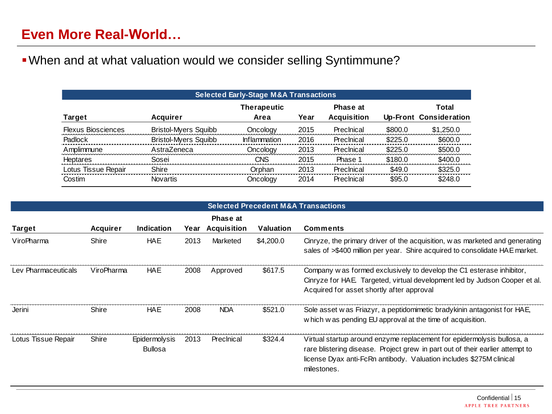## **Even More Real-World…**

#### When and at what valuation would we consider selling Syntimmune?

| <b>Selected Early-Stage M&amp;A Transactions</b> |                             |                            |      |                                       |         |                                        |  |  |  |
|--------------------------------------------------|-----------------------------|----------------------------|------|---------------------------------------|---------|----------------------------------------|--|--|--|
| Target                                           | <b>Acquirer</b>             | <b>Therapeutic</b><br>Area | Year | <b>Phase at</b><br><b>Acquisition</b> |         | Total<br><b>Up-Front Consideration</b> |  |  |  |
| <b>Flexus Biosciences</b>                        | <b>Bristol-Myers Squibb</b> | Oncoloav                   | 2015 | Precinical                            | \$800.0 | \$1,250.0                              |  |  |  |
| Padlock                                          | <b>Bristol-Myers Squibb</b> | <b>Inflammation</b>        | 2016 | Precinical                            | \$225.0 | \$600.0                                |  |  |  |
| Amplimmune                                       | AstraZeneca                 | Oncology                   | 2013 | Precinical                            | \$225.0 | \$500.0                                |  |  |  |
| Heptares                                         | Sosei                       | <b>CNS</b>                 | 2015 | Phase 1                               | \$180.0 | \$400.0                                |  |  |  |
| Lotus Tissue Repair                              | Shire                       | Orphan                     | 2013 | Precinical                            | \$49.0  | \$325.0                                |  |  |  |
| Costim                                           | <b>Novartis</b>             | Oncology                   | 2014 | Precinical                            | \$95.0  | \$248.0                                |  |  |  |

|                     | <b>Selected Precedent M&amp;A Transactions</b> |                                        |      |                                       |           |                                                                                                                                                                                                                                               |  |  |  |  |
|---------------------|------------------------------------------------|----------------------------------------|------|---------------------------------------|-----------|-----------------------------------------------------------------------------------------------------------------------------------------------------------------------------------------------------------------------------------------------|--|--|--|--|
| Target              | Acquirer                                       | Indication                             | Year | <b>Phase at</b><br><b>Acquisition</b> | Valuation | Comments                                                                                                                                                                                                                                      |  |  |  |  |
| ViroPharma          | Shire                                          | <b>HAE</b>                             | 2013 | Marketed                              | \$4,200.0 | Cinryze, the primary driver of the acquisition, w as marketed and generating<br>sales of >\$400 million per year. Shire acquired to consolidate HAE market.                                                                                   |  |  |  |  |
| Lev Pharmaceuticals | ViroPharma                                     | <b>HAE</b>                             | 2008 | Approved                              | \$617.5   | Company w as formed exclusively to develop the C1 esterase inhibitor,<br>Cinryze for HAE. Targeted, virtual development led by Judson Cooper et al.<br>Acquired for asset shortly after approval                                              |  |  |  |  |
| Jerini              | Shire                                          | HAE                                    | 2008 | <b>NDA</b>                            | \$521.0   | Sole asset w as Friazyr, a peptidomimetic bradykinin antagonist for HAE,<br>which was pending EU approval at the time of acquisition.                                                                                                         |  |  |  |  |
| Lotus Tissue Repair | Shire                                          | <b>Epidermolysis</b><br><b>Bullosa</b> | 2013 | Precinical                            | \$324.4   | Virtual startup around enzyme replacement for epidermolysis bullosa, a<br>rare blistering disease. Project grew in part out of their earlier attempt to<br>license Dyax anti-FcRn antibody. Valuation includes \$275M clinical<br>milestones. |  |  |  |  |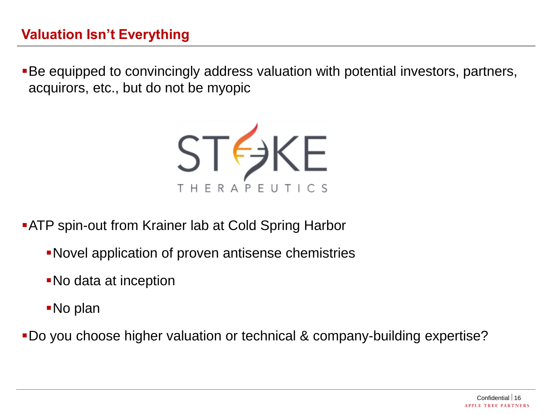## **Valuation Isn't Everything**

Be equipped to convincingly address valuation with potential investors, partners, acquirors, etc., but do not be myopic



**ATP spin-out from Krainer lab at Cold Spring Harbor** 

- Novel application of proven antisense chemistries
- No data at inception
- No plan

Do you choose higher valuation or technical & company-building expertise?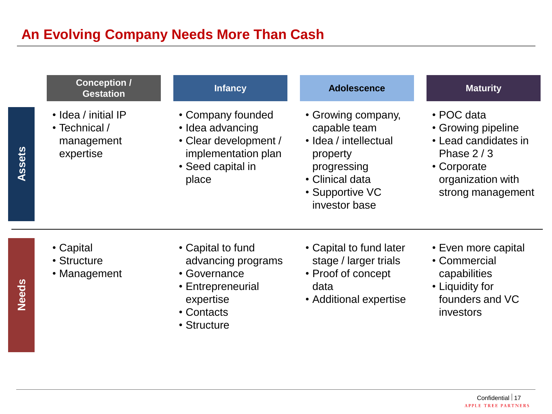|        | <b>Conception /</b><br><b>Gestation</b>                         | <b>Infancy</b>                                                                                                         | <b>Adolescence</b>                                                                                                                            | <b>Maturity</b>                                                                                                                  |
|--------|-----------------------------------------------------------------|------------------------------------------------------------------------------------------------------------------------|-----------------------------------------------------------------------------------------------------------------------------------------------|----------------------------------------------------------------------------------------------------------------------------------|
| Assets | • Idea / initial IP<br>• Technical /<br>management<br>expertise | • Company founded<br>· Idea advancing<br>• Clear development /<br>implementation plan<br>• Seed capital in<br>place    | • Growing company,<br>capable team<br>• Idea / intellectual<br>property<br>progressing<br>• Clinical data<br>• Supportive VC<br>investor base | • POC data<br>• Growing pipeline<br>• Lead candidates in<br>Phase $2/3$<br>• Corporate<br>organization with<br>strong management |
| Needs  | • Capital<br>• Structure<br>• Management                        | • Capital to fund<br>advancing programs<br>• Governance<br>• Entrepreneurial<br>expertise<br>• Contacts<br>• Structure | • Capital to fund later<br>stage / larger trials<br>• Proof of concept<br>data<br>• Additional expertise                                      | • Even more capital<br>• Commercial<br>capabilities<br>• Liquidity for<br>founders and VC<br>investors                           |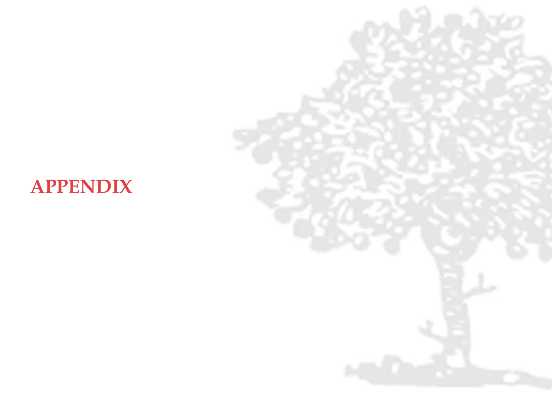# **APPENDIX**